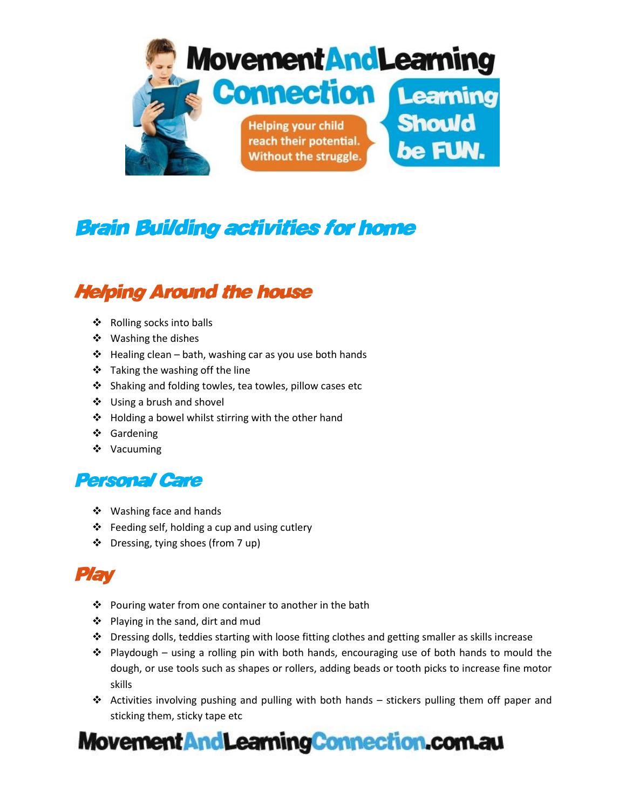

## **Brain Building activities for home**

### **Helping Around the house**

- $\triangleleft$  Rolling socks into balls
- ❖ Washing the dishes
- $\div$  Healing clean bath, washing car as you use both hands
- Taking the washing off the line
- ❖ Shaking and folding towles, tea towles, pillow cases etc
- ❖ Using a brush and shovel
- ❖ Holding a bowel whilst stirring with the other hand
- Gardening
- ❖ Vacuuming

#### **Personal Care**

- ❖ Washing face and hands
- $\triangle$  Feeding self, holding a cup and using cutlery
- Dressing, tying shoes (from 7 up)

## Play

- ❖ Pouring water from one container to another in the bath
- $\triangle$  Playing in the sand, dirt and mud
- $\div$  Dressing dolls, teddies starting with loose fitting clothes and getting smaller as skills increase
- Playdough using a rolling pin with both hands, encouraging use of both hands to mould the dough, or use tools such as shapes or rollers, adding beads or tooth picks to increase fine motor skills
- $\triangleleft$  Activities involving pushing and pulling with both hands stickers pulling them off paper and sticking them, sticky tape etc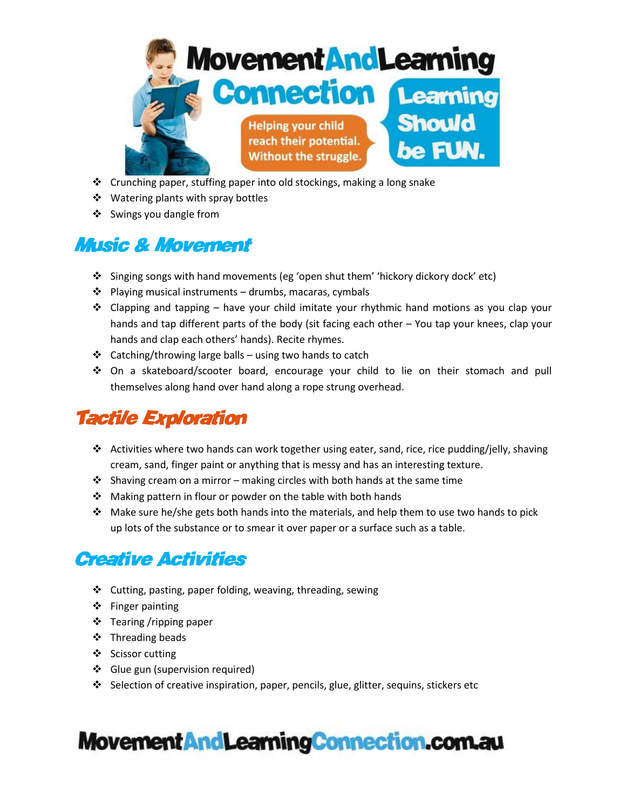

- Crunching paper, stuffing paper into old stockings, making a long snake
- ❖ Watering plants with spray bottles
- ❖ Swings you dangle from

## *Music & Movement*

- Singing songs with hand movements (eg 'open shut them' 'hickory dickory dock' etc)
- $\triangleq$  Playing musical instruments drumbs, macaras, cymbals
- Clapping and tapping have your child imitate your rhythmic hand motions as you clap your hands and tap different parts of the body (sit facing each other – You tap your knees, clap your hands and clap each others' hands). Recite rhymes.
- $\triangleleft$  Catching/throwing large balls using two hands to catch
- On a skateboard/scooter board, encourage your child to lie on their stomach and pull themselves along hand over hand along a rope strung overhead.

## **Tactile Exploration**

- ◆ Activities where two hands can work together using eater, sand, rice, rice pudding/jelly, shaving cream, sand, finger paint or anything that is messy and has an interesting texture.
- $\cdot$  Shaving cream on a mirror making circles with both hands at the same time
- $\cdot$  Making pattern in flour or powder on the table with both hands
- $\div$  Make sure he/she gets both hands into the materials, and help them to use two hands to pick up lots of the substance or to smear it over paper or a surface such as a table.

### **Creative Activities**

- $\div$  Cutting, pasting, paper folding, weaving, threading, sewing
- ❖ Finger painting
- ❖ Tearing /ripping paper
- $\div$  Threading beads
- ❖ Scissor cutting
- Glue gun (supervision required)
- $\div$  Selection of creative inspiration, paper, pencils, glue, glitter, sequins, stickers etc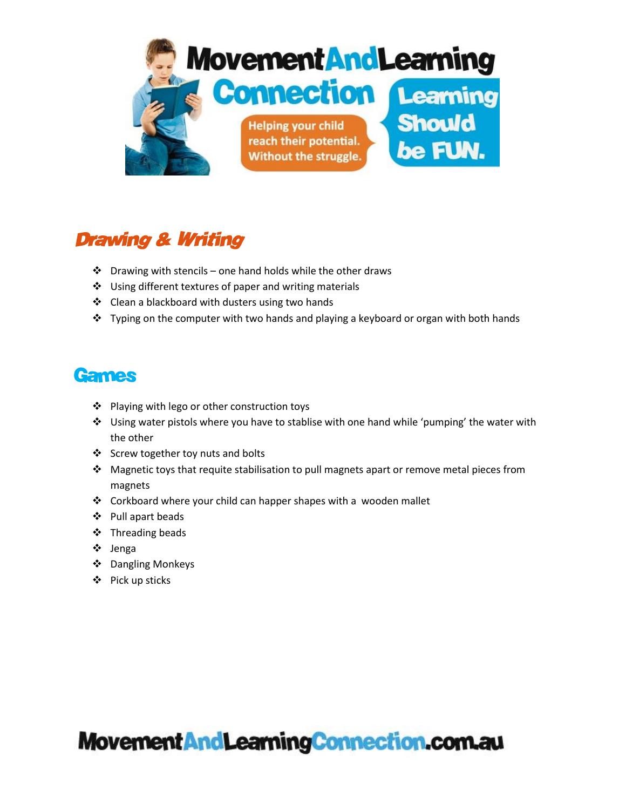

## **Drawing & Writing**

- $\cdot$  Drawing with stencils one hand holds while the other draws
- ❖ Using different textures of paper and writing materials
- ❖ Clean a blackboard with dusters using two hands
- $\cdot \cdot$  Typing on the computer with two hands and playing a keyboard or organ with both hands

#### **Games**

- ❖ Playing with lego or other construction toys
- Using water pistols where you have to stablise with one hand while 'pumping' the water with the other
- Screw together toy nuts and bolts
- Magnetic toys that requite stabilisation to pull magnets apart or remove metal pieces from magnets
- Corkboard where your child can happer shapes with a wooden mallet
- Pull apart beads
- ❖ Threading beads
- Jenga
- ❖ Dangling Monkeys
- ❖ Pick up sticks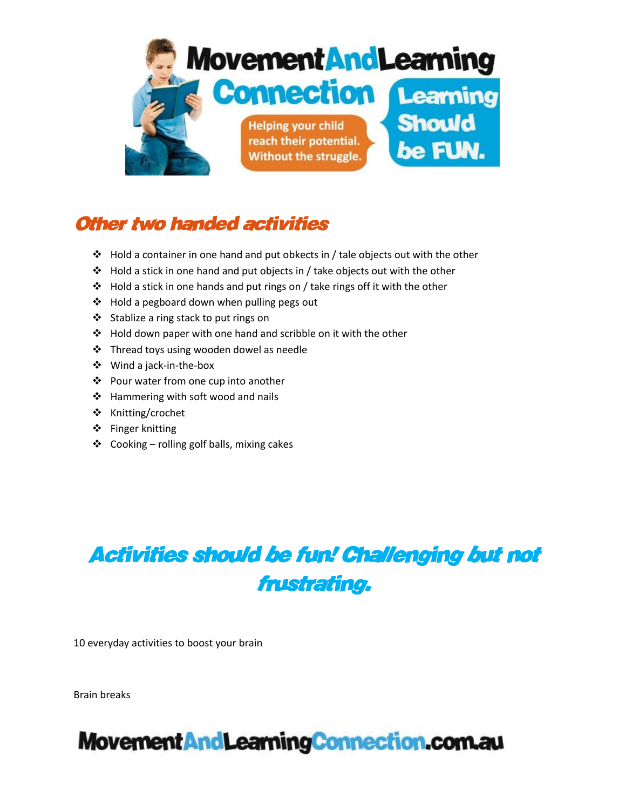

## **Other two handed activities**

- $\div$  Hold a container in one hand and put obkects in / tale objects out with the other
- $\cdot \cdot$  Hold a stick in one hand and put objects in / take objects out with the other
- Hold a stick in one hands and put rings on / take rings off it with the other
- $\triangleq$  Hold a pegboard down when pulling pegs out
- Stablize a ring stack to put rings on
- $\cdot \cdot$  Hold down paper with one hand and scribble on it with the other
- Thread toys using wooden dowel as needle
- Wind a jack-in-the-box
- ❖ Pour water from one cup into another
- $\div$  Hammering with soft wood and nails
- ❖ Knitting/crochet
- ❖ Finger knitting
- $\div$  Cooking rolling golf balls, mixing cakes

# **Activities should be fun! Challenging but not** frustrating.

10 everyday activities to boost your brain

Brain breaks